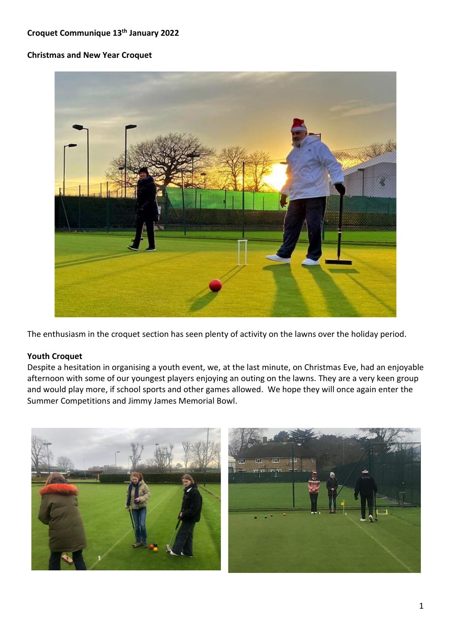### **Croquet Communique 13th January 2022**

# **Christmas and New Year Croquet**



The enthusiasm in the croquet section has seen plenty of activity on the lawns over the holiday period.

#### **Youth Croquet**

Despite a hesitation in organising a youth event, we, at the last minute, on Christmas Eve, had an enjoyable afternoon with some of our youngest players enjoying an outing on the lawns. They are a very keen group and would play more, if school sports and other games allowed. We hope they will once again enter the Summer Competitions and Jimmy James Memorial Bowl.